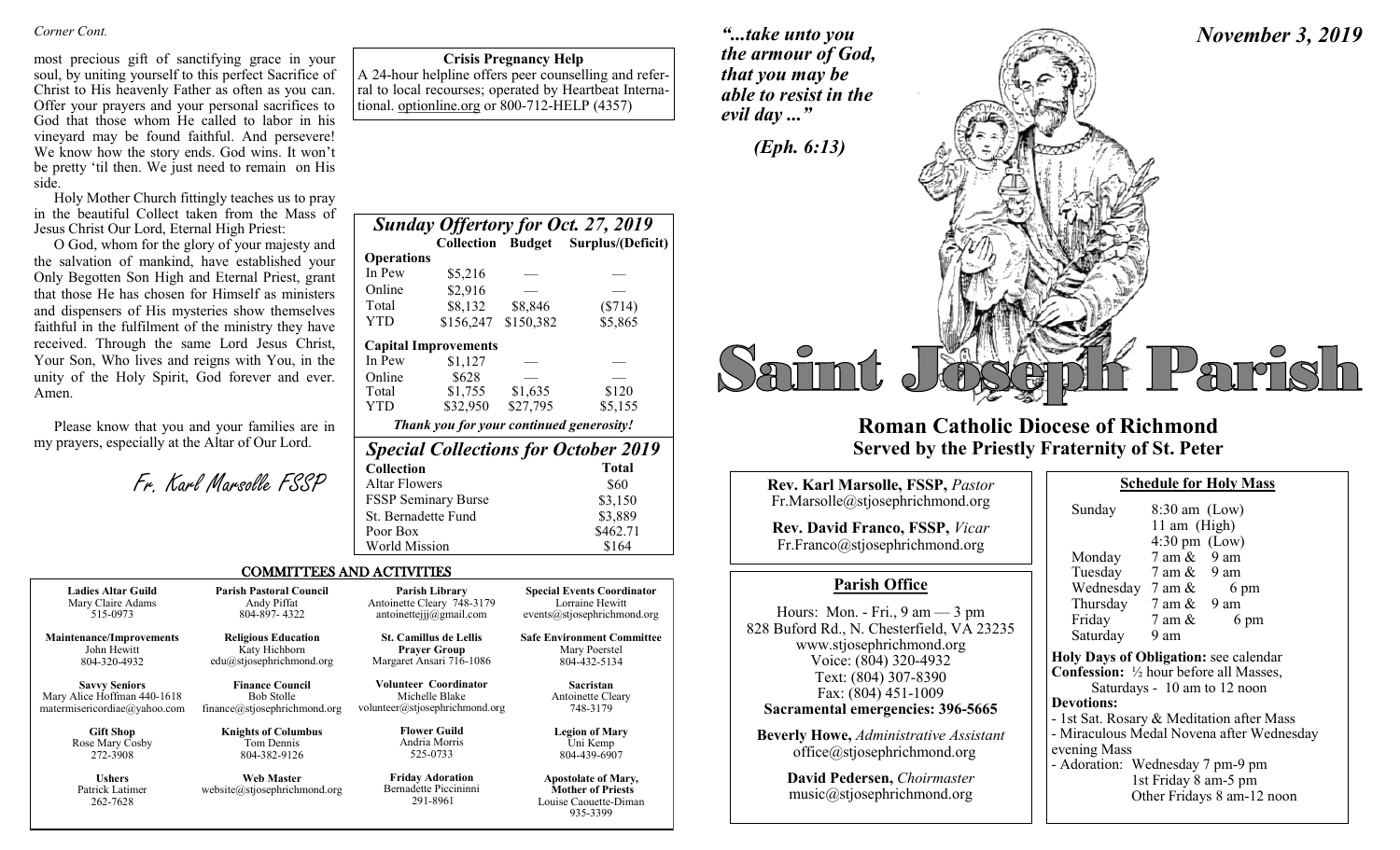most precious gift of sanctifying grace in your soul, by uniting yourself to this perfect Sacrifice of Christ to His heavenly Father as often as you can. Offer your prayers and your personal sacrifices to God that those whom He called to labor in his vineyard may be found faithful. And persevere! We know how the story ends. God wins. It won't be pretty 'til then. We just need to remain on His side.

Holy Mother Church fittingly teaches us to pray in the beautiful Collect taken from the Mass of Jesus Christ Our Lord, Eternal High Priest:

O God, whom for the glory of your majesty and the salvation of mankind, have established your Only Begotten Son High and Eternal Priest, grant that those He has chosen for Himself as ministers and dispensers of His mysteries show themselves faithful in the fulfilment of the ministry they have received. Through the same Lord Jesus Christ, Your Son, Who lives and reigns with You, in the unity of the Holy Spirit, God forever and ever. Amen.

Please know that you and your families are in my prayers, especially at the Altar of Our Lord.

262-7628

Fr. Karl Marsolle FSSP

**Crisis Pregnancy Help** A 24-hour helpline offers peer counselling and referral to local recourses; operated by Heartbeat International. optionline.org or 800-712-HELP (4357)

*Sunday Offertory for Oct. 27, 2019*   **Collection Budget Surplus/(Deficit) Operations** In Pew \$5,216 Online \$2,916 Total \$8,132 \$8,846 (\$714) YTD \$156,247 \$150,382 \$5,865  **Capital Improvements**  In Pew  $$1,127$ Online \$628 — — Total \$1,755 \$1,635 \$120 YTD \$32,950 \$27,795 \$5,155 *Thank you for your continued generosity! Special Collections for October 2019* 

| <b>Collection</b>    | <b>Total</b> |
|----------------------|--------------|
| Altar Flowers        | \$60         |
| FSSP Seminary Burse  | \$3,150      |
| St. Bernadette Fund  | \$3,889      |
| Poor Box             | \$462.71     |
| <b>World Mission</b> | \$164        |
|                      |              |

291-8961

# COMMITTEES AND ACTIVITIES

| <b>Ladies Altar Guild</b>                                                                                                                 | <b>Parish Pastoral Council</b> | <b>Parish Library</b>                                                            |  |
|-------------------------------------------------------------------------------------------------------------------------------------------|--------------------------------|----------------------------------------------------------------------------------|--|
| Mary Claire Adams                                                                                                                         | Andy Piffat                    | Antoinette Cleary 748-3179                                                       |  |
| 515-0973                                                                                                                                  | 804-897-4322                   | antoinettejjj $@g$ mail.com                                                      |  |
| <b>Religious Education</b><br><b>Maintenance/Improvements</b><br>John Hewitt<br>Katy Hichborn<br>edu@stjosephrichmond.org<br>804-320-4932 |                                | <b>St. Camillus de Lellis</b><br><b>Prayer Group</b><br>Margaret Ansari 716-1086 |  |
| <b>Savvy Seniors</b>                                                                                                                      | <b>Finance Council</b>         | <b>Volunteer Coordinator</b>                                                     |  |
| Mary Alice Hoffman 440-1618                                                                                                               | <b>Bob Stolle</b>              | Michelle Blake                                                                   |  |
| matermisericordiae@yahoo.com                                                                                                              | finance@stjosephrichmond.org   | volunteer@stjosephrichmond.org                                                   |  |
| <b>Gift Shop</b>                                                                                                                          | <b>Knights of Columbus</b>     | <b>Flower Guild</b>                                                              |  |
| Rose Mary Cosby                                                                                                                           | Tom Dennis                     | Andria Morris                                                                    |  |
| 272-3908                                                                                                                                  | 804-382-9126                   | 525-0733                                                                         |  |
| <b>Ushers</b>                                                                                                                             | <b>Web Master</b>              |                                                                                  |  |
| Patrick Latimer                                                                                                                           | website@stiosephrichmond.org   |                                                                                  |  |

website@stjosephrichmond.org

**Safe Environment Committee** Mary Poerstel 804-432-5134

**Special Events Coordinator** Lorraine Hewitt events@stjosephrichmond.org

> **Sacristan** Antoinette Cleary 748-3179

**Legion of Mary** Uni Kemp 804-439-6907

**Apostolate of Mary, Mother of Priests** Louise Caouette-Diman 935-3399

*"...take unto you the armour of God, that you may be able to resist in the evil day ..."*



# **Roman Catholic Diocese of Richmond Served by the Priestly Fraternity of St. Peter**

| Rev. Karl Marsolle, FSSP, Pastor                                                                                           | <b>Schedule for Holy Mass</b>                                                                                                     |  |  |
|----------------------------------------------------------------------------------------------------------------------------|-----------------------------------------------------------------------------------------------------------------------------------|--|--|
| Fr.Marsolle@stjosephrichmond.org<br><b>Rev. David Franco, FSSP, Vicar</b><br>Fr.Franco@stjosephrichmond.org                | $8:30$ am (Low)<br>Sunday<br>11 am $(High)$<br>$4:30 \text{ pm}$ (Low)<br>$7$ am $\&$ 9 am<br>Monday                              |  |  |
| <b>Parish Office</b>                                                                                                       | Tuesday 7 am & 9 am<br>Wednesday $7 \text{ am } \&$<br>6 pm                                                                       |  |  |
| Hours: Mon. - Fri., $9 \text{ am} - 3 \text{ pm}$<br>828 Buford Rd., N. Chesterfield, VA 23235<br>www.stjosephrichmond.org | Thursday $7 \text{ am } \& 9 \text{ am}$<br>Friday<br>7 am &<br>6 pm<br>Saturday<br>9 am<br>Holy Days of Obligation: see calenda  |  |  |
| Voice: (804) 320-4932<br>Text: (804) 307-8390<br>Fax: (804) 451-1009<br>Sacramental emergencies: 396-5665                  | <b>Confession:</b> 1/2 hour before all Masses<br>Saturdays - 10 am to 12 noon<br><b>Devotions:</b>                                |  |  |
| <b>Beverly Howe, Administrative Assistant</b><br>office@stjosephrichmond.org                                               | - 1st Sat. Rosary & Meditation after M<br>- Miraculous Medal Novena after Wed<br>evening Mass<br>- Adoration: Wednesday 7 pm-9 pm |  |  |
| Dovid Podorson Choirmastor                                                                                                 | $1.4 \text{ F}$ . $1.3 \text{ F}$ . $0.5 \text{ F}$ . $1.3 \text{ F}$                                                             |  |  |

**David Pedersen,** *Choirmaster* music@stjosephrichmond.org

| Sunday                                    | $8:30$ am (Low)<br>11 am $(High)$ |                                           |
|-------------------------------------------|-----------------------------------|-------------------------------------------|
|                                           | $4:30 \text{ pm}$ (Low)           |                                           |
| Monday                                    | $7 \text{ am } \& 9 \text{ am}$   |                                           |
| Tuesday                                   | $7 \text{ am } \& 9 \text{ am}$   |                                           |
| Wednesday $7 \text{ am } \& 6 \text{ pm}$ |                                   |                                           |
| Thursday $7 \text{ am } \& 9 \text{ am}$  |                                   |                                           |
| Friday                                    | $7 \text{ am } \&$                | 6 pm                                      |
| Saturday 9 am                             |                                   |                                           |
| Holy Days of Obligation: see calendar     |                                   |                                           |
| Confession: 1/2 hour before all Masses,   |                                   |                                           |
|                                           |                                   | Saturdays - 10 am to 12 noon              |
| <b>Devotions:</b>                         |                                   |                                           |
| - 1st Sat. Rosary & Meditation after Mass |                                   |                                           |
|                                           |                                   | - Miraculous Medal Novena after Wednesday |
| evening Mass                              |                                   |                                           |
| - Adoration: Wednesday 7 pm-9 pm          |                                   |                                           |
|                                           | 1st Friday 8 am-5 pm              |                                           |
|                                           |                                   | Other Fridays 8 am-12 noon                |